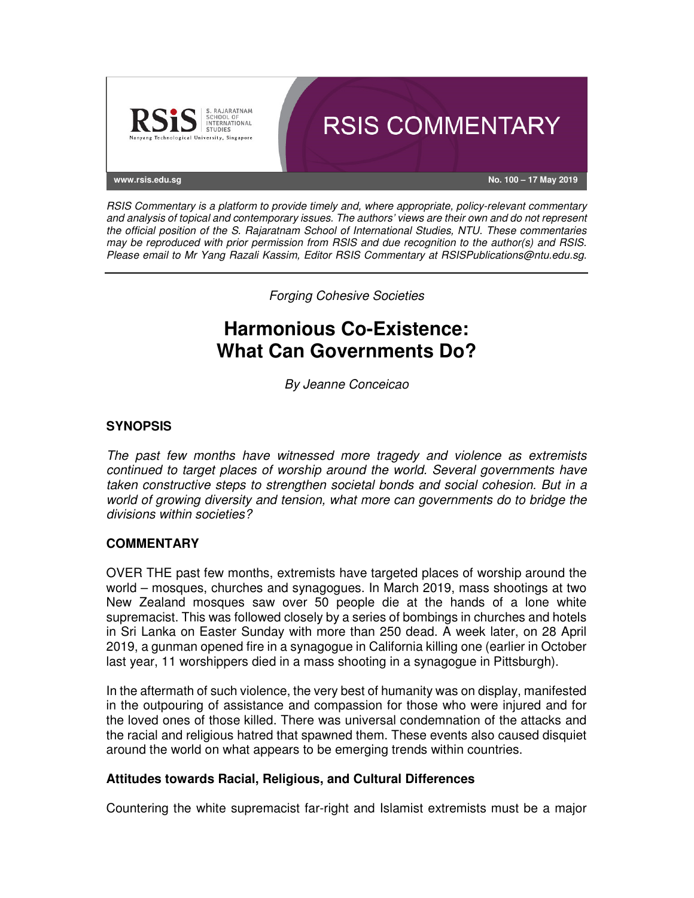

RSIS Commentary is a platform to provide timely and, where appropriate, policy-relevant commentary and analysis of topical and contemporary issues. The authors' views are their own and do not represent the official position of the S. Rajaratnam School of International Studies, NTU. These commentaries may be reproduced with prior permission from RSIS and due recognition to the author(s) and RSIS. Please email to Mr Yang Razali Kassim, Editor RSIS Commentary at RSISPublications@ntu.edu.sg.

Forging Cohesive Societies

# **Harmonious Co-Existence: What Can Governments Do?**

By Jeanne Conceicao

## **SYNOPSIS**

The past few months have witnessed more tragedy and violence as extremists continued to target places of worship around the world. Several governments have taken constructive steps to strengthen societal bonds and social cohesion. But in a world of growing diversity and tension, what more can governments do to bridge the divisions within societies?

## **COMMENTARY**

OVER THE past few months, extremists have targeted places of worship around the world – mosques, churches and synagogues. In March 2019, mass shootings at two New Zealand mosques saw over 50 people die at the hands of a lone white supremacist. This was followed closely by a series of bombings in churches and hotels in Sri Lanka on Easter Sunday with more than 250 dead. A week later, on 28 April 2019, a gunman opened fire in a synagogue in California killing one (earlier in October last year, 11 worshippers died in a mass shooting in a synagogue in Pittsburgh).

In the aftermath of such violence, the very best of humanity was on display, manifested in the outpouring of assistance and compassion for those who were injured and for the loved ones of those killed. There was universal condemnation of the attacks and the racial and religious hatred that spawned them. These events also caused disquiet around the world on what appears to be emerging trends within countries.

## **Attitudes towards Racial, Religious, and Cultural Differences**

Countering the white supremacist far-right and Islamist extremists must be a major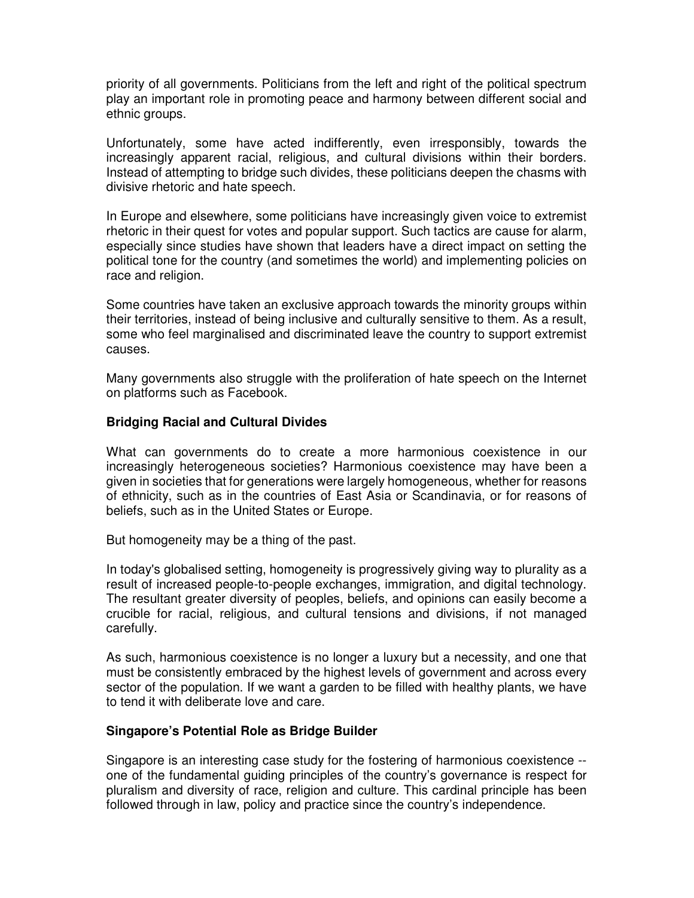priority of all governments. Politicians from the left and right of the political spectrum play an important role in promoting peace and harmony between different social and ethnic groups.

Unfortunately, some have acted indifferently, even irresponsibly, towards the increasingly apparent racial, religious, and cultural divisions within their borders. Instead of attempting to bridge such divides, these politicians deepen the chasms with divisive rhetoric and hate speech.

In Europe and elsewhere, some politicians have increasingly given voice to extremist rhetoric in their quest for votes and popular support. Such tactics are cause for alarm, especially since studies have shown that leaders have a direct impact on setting the political tone for the country (and sometimes the world) and implementing policies on race and religion.

Some countries have taken an exclusive approach towards the minority groups within their territories, instead of being inclusive and culturally sensitive to them. As a result, some who feel marginalised and discriminated leave the country to support extremist causes.

Many governments also struggle with the proliferation of hate speech on the Internet on platforms such as Facebook.

#### **Bridging Racial and Cultural Divides**

What can governments do to create a more harmonious coexistence in our increasingly heterogeneous societies? Harmonious coexistence may have been a given in societies that for generations were largely homogeneous, whether for reasons of ethnicity, such as in the countries of East Asia or Scandinavia, or for reasons of beliefs, such as in the United States or Europe.

But homogeneity may be a thing of the past.

In today's globalised setting, homogeneity is progressively giving way to plurality as a result of increased people-to-people exchanges, immigration, and digital technology. The resultant greater diversity of peoples, beliefs, and opinions can easily become a crucible for racial, religious, and cultural tensions and divisions, if not managed carefully.

As such, harmonious coexistence is no longer a luxury but a necessity, and one that must be consistently embraced by the highest levels of government and across every sector of the population. If we want a garden to be filled with healthy plants, we have to tend it with deliberate love and care.

## **Singapore's Potential Role as Bridge Builder**

Singapore is an interesting case study for the fostering of harmonious coexistence - one of the fundamental guiding principles of the country's governance is respect for pluralism and diversity of race, religion and culture. This cardinal principle has been followed through in law, policy and practice since the country's independence.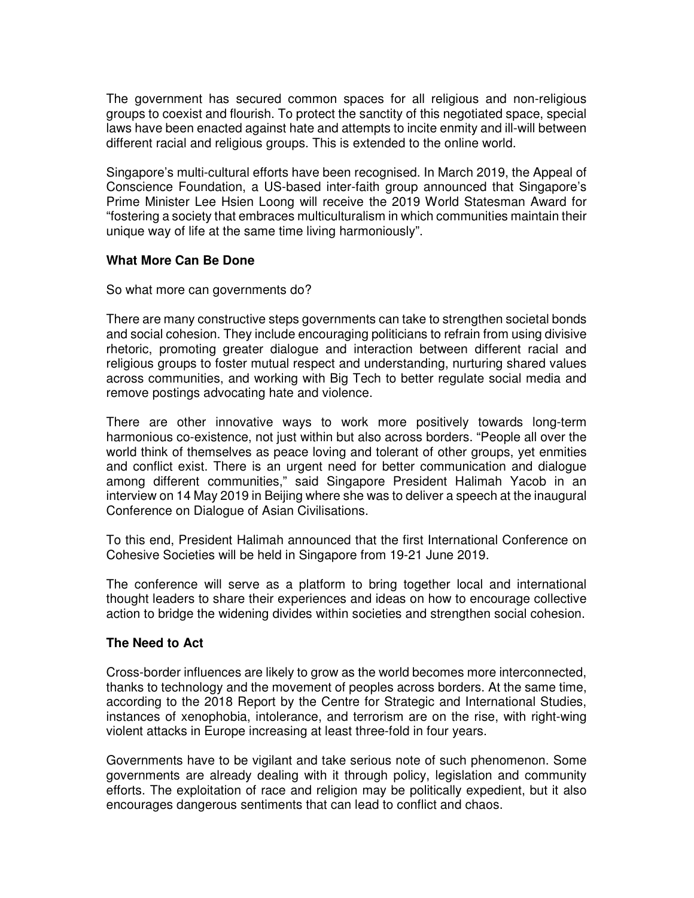The government has secured common spaces for all religious and non-religious groups to coexist and flourish. To protect the sanctity of this negotiated space, special laws have been enacted against hate and attempts to incite enmity and ill-will between different racial and religious groups. This is extended to the online world.

Singapore's multi-cultural efforts have been recognised. In March 2019, the Appeal of Conscience Foundation, a US-based inter-faith group announced that Singapore's Prime Minister Lee Hsien Loong will receive the 2019 World Statesman Award for "fostering a society that embraces multiculturalism in which communities maintain their unique way of life at the same time living harmoniously".

## **What More Can Be Done**

So what more can governments do?

There are many constructive steps governments can take to strengthen societal bonds and social cohesion. They include encouraging politicians to refrain from using divisive rhetoric, promoting greater dialogue and interaction between different racial and religious groups to foster mutual respect and understanding, nurturing shared values across communities, and working with Big Tech to better regulate social media and remove postings advocating hate and violence.

There are other innovative ways to work more positively towards long-term harmonious co-existence, not just within but also across borders. "People all over the world think of themselves as peace loving and tolerant of other groups, yet enmities and conflict exist. There is an urgent need for better communication and dialogue among different communities," said Singapore President Halimah Yacob in an interview on 14 May 2019 in Beijing where she was to deliver a speech at the inaugural Conference on Dialogue of Asian Civilisations.

To this end, President Halimah announced that the first International Conference on Cohesive Societies will be held in Singapore from 19-21 June 2019.

The conference will serve as a platform to bring together local and international thought leaders to share their experiences and ideas on how to encourage collective action to bridge the widening divides within societies and strengthen social cohesion.

## **The Need to Act**

Cross-border influences are likely to grow as the world becomes more interconnected, thanks to technology and the movement of peoples across borders. At the same time, according to the 2018 Report by the Centre for Strategic and International Studies, instances of xenophobia, intolerance, and terrorism are on the rise, with right-wing violent attacks in Europe increasing at least three-fold in four years.

Governments have to be vigilant and take serious note of such phenomenon. Some governments are already dealing with it through policy, legislation and community efforts. The exploitation of race and religion may be politically expedient, but it also encourages dangerous sentiments that can lead to conflict and chaos.